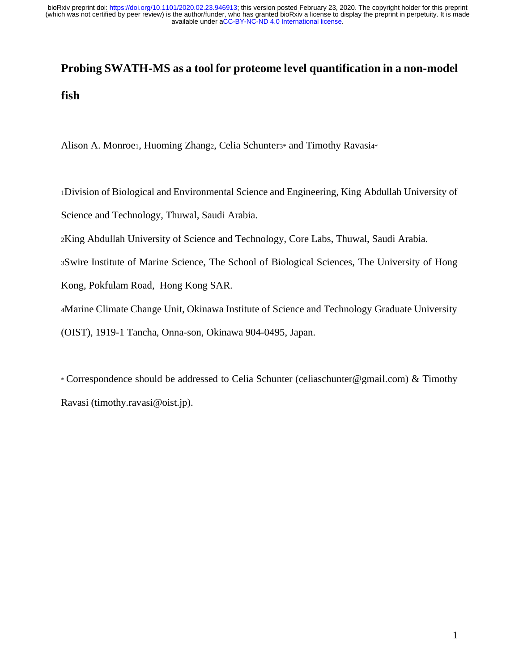# **Probing SWATH-MS as a tool for proteome level quantification in a non-model fish**

Alison A. Monroe1, Huoming Zhang2, Celia Schunter3\* and Timothy Ravasi4\*

<sup>1</sup>Division of Biological and Environmental Science and Engineering, King Abdullah University of

Science and Technology, Thuwal, Saudi Arabia.

<sup>2</sup>King Abdullah University of Science and Technology, Core Labs, Thuwal, Saudi Arabia.

<sup>3</sup>Swire Institute of Marine Science, The School of Biological Sciences, The University of Hong

Kong, Pokfulam Road, Hong Kong SAR.

<sup>4</sup>Marine Climate Change Unit, Okinawa Institute of Science and Technology Graduate University

(OIST), 1919-1 Tancha, Onna-son, Okinawa 904-0495, Japan.

\* Correspondence should be addressed to Celia Schunter (celiaschunter@gmail.com) & Timothy Ravasi (timothy.ravasi@oist.jp).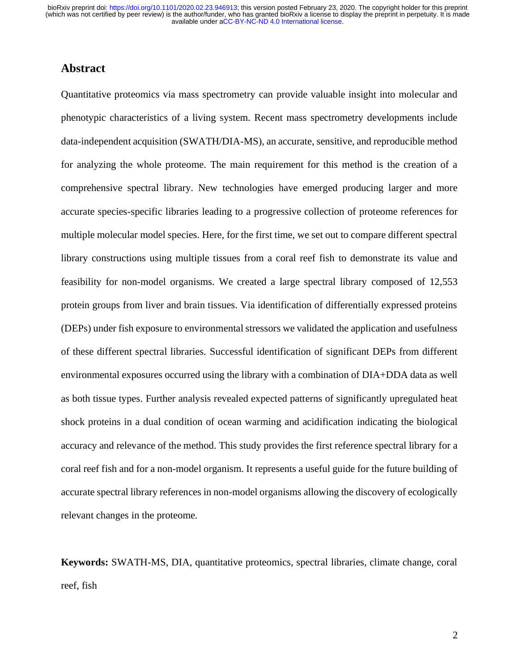# **Abstract**

Quantitative proteomics via mass spectrometry can provide valuable insight into molecular and phenotypic characteristics of a living system. Recent mass spectrometry developments include data-independent acquisition (SWATH/DIA-MS), an accurate, sensitive, and reproducible method for analyzing the whole proteome. The main requirement for this method is the creation of a comprehensive spectral library. New technologies have emerged producing larger and more accurate species-specific libraries leading to a progressive collection of proteome references for multiple molecular model species. Here, for the first time, we set out to compare different spectral library constructions using multiple tissues from a coral reef fish to demonstrate its value and feasibility for non-model organisms. We created a large spectral library composed of 12,553 protein groups from liver and brain tissues. Via identification of differentially expressed proteins (DEPs) under fish exposure to environmental stressors we validated the application and usefulness of these different spectral libraries. Successful identification of significant DEPs from different environmental exposures occurred using the library with a combination of DIA+DDA data as well as both tissue types. Further analysis revealed expected patterns of significantly upregulated heat shock proteins in a dual condition of ocean warming and acidification indicating the biological accuracy and relevance of the method. This study provides the first reference spectral library for a coral reef fish and for a non-model organism. It represents a useful guide for the future building of accurate spectral library references in non-model organisms allowing the discovery of ecologically relevant changes in the proteome.

**Keywords:** SWATH-MS, DIA, quantitative proteomics, spectral libraries, climate change, coral reef, fish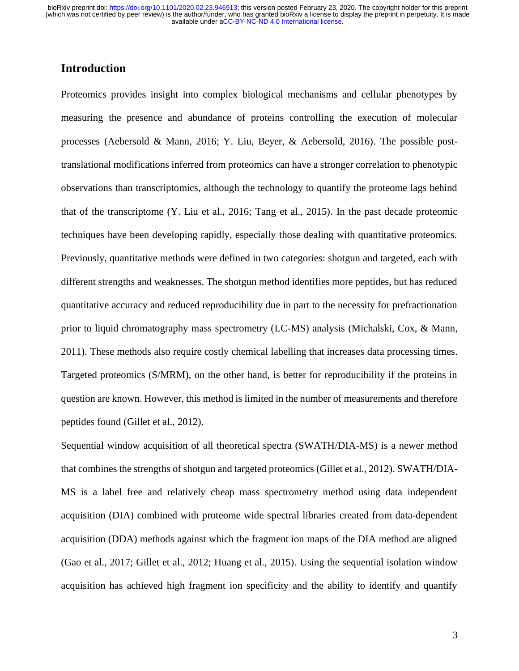# **Introduction**

Proteomics provides insight into complex biological mechanisms and cellular phenotypes by measuring the presence and abundance of proteins controlling the execution of molecular processes (Aebersold & Mann, 2016; Y. Liu, Beyer, & Aebersold, 2016). The possible posttranslational modifications inferred from proteomics can have a stronger correlation to phenotypic observations than transcriptomics, although the technology to quantify the proteome lags behind that of the transcriptome (Y. Liu et al., 2016; Tang et al., 2015). In the past decade proteomic techniques have been developing rapidly, especially those dealing with quantitative proteomics. Previously, quantitative methods were defined in two categories: shotgun and targeted, each with different strengths and weaknesses. The shotgun method identifies more peptides, but has reduced quantitative accuracy and reduced reproducibility due in part to the necessity for prefractionation prior to liquid chromatography mass spectrometry (LC-MS) analysis (Michalski, Cox, & Mann, 2011). These methods also require costly chemical labelling that increases data processing times. Targeted proteomics (S/MRM), on the other hand, is better for reproducibility if the proteins in question are known. However, this method is limited in the number of measurements and therefore peptides found (Gillet et al., 2012).

Sequential window acquisition of all theoretical spectra (SWATH/DIA-MS) is a newer method that combines the strengths of shotgun and targeted proteomics (Gillet et al., 2012). SWATH/DIA-MS is a label free and relatively cheap mass spectrometry method using data independent acquisition (DIA) combined with proteome wide spectral libraries created from data-dependent acquisition (DDA) methods against which the fragment ion maps of the DIA method are aligned (Gao et al., 2017; Gillet et al., 2012; Huang et al., 2015). Using the sequential isolation window acquisition has achieved high fragment ion specificity and the ability to identify and quantify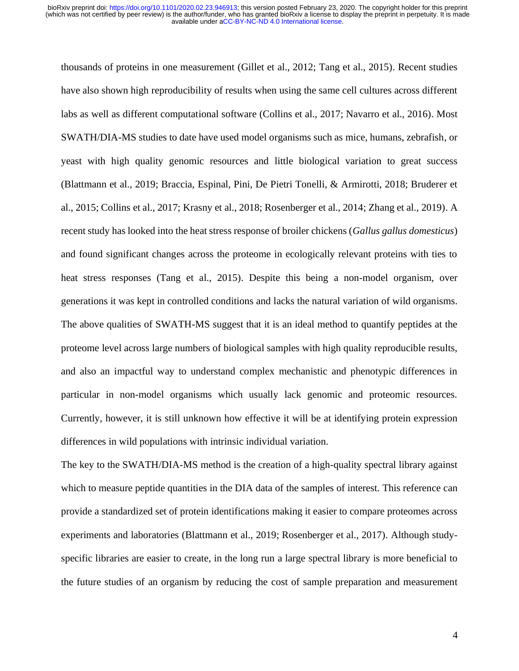thousands of proteins in one measurement (Gillet et al., 2012; Tang et al., 2015). Recent studies have also shown high reproducibility of results when using the same cell cultures across different labs as well as different computational software (Collins et al., 2017; Navarro et al., 2016). Most SWATH/DIA-MS studies to date have used model organisms such as mice, humans, zebrafish, or yeast with high quality genomic resources and little biological variation to great success (Blattmann et al., 2019; Braccia, Espinal, Pini, De Pietri Tonelli, & Armirotti, 2018; Bruderer et al., 2015; Collins et al., 2017; Krasny et al., 2018; Rosenberger et al., 2014; Zhang et al., 2019). A recent study has looked into the heat stress response of broiler chickens (*Gallus gallus domesticus*) and found significant changes across the proteome in ecologically relevant proteins with ties to heat stress responses (Tang et al., 2015). Despite this being a non-model organism, over generations it was kept in controlled conditions and lacks the natural variation of wild organisms. The above qualities of SWATH-MS suggest that it is an ideal method to quantify peptides at the proteome level across large numbers of biological samples with high quality reproducible results, and also an impactful way to understand complex mechanistic and phenotypic differences in particular in non-model organisms which usually lack genomic and proteomic resources. Currently, however, it is still unknown how effective it will be at identifying protein expression differences in wild populations with intrinsic individual variation.

The key to the SWATH/DIA-MS method is the creation of a high-quality spectral library against which to measure peptide quantities in the DIA data of the samples of interest. This reference can provide a standardized set of protein identifications making it easier to compare proteomes across experiments and laboratories (Blattmann et al., 2019; Rosenberger et al., 2017). Although studyspecific libraries are easier to create, in the long run a large spectral library is more beneficial to the future studies of an organism by reducing the cost of sample preparation and measurement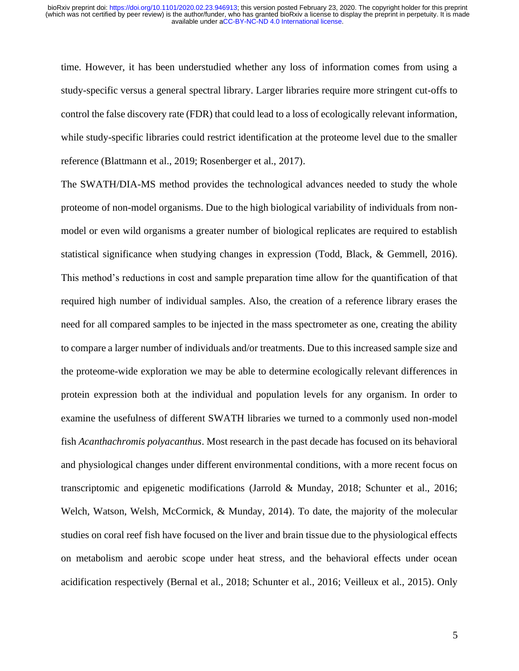time. However, it has been understudied whether any loss of information comes from using a study-specific versus a general spectral library. Larger libraries require more stringent cut-offs to control the false discovery rate (FDR) that could lead to a loss of ecologically relevant information, while study-specific libraries could restrict identification at the proteome level due to the smaller reference (Blattmann et al., 2019; Rosenberger et al., 2017).

The SWATH/DIA-MS method provides the technological advances needed to study the whole proteome of non-model organisms. Due to the high biological variability of individuals from nonmodel or even wild organisms a greater number of biological replicates are required to establish statistical significance when studying changes in expression (Todd, Black, & Gemmell, 2016). This method's reductions in cost and sample preparation time allow for the quantification of that required high number of individual samples. Also, the creation of a reference library erases the need for all compared samples to be injected in the mass spectrometer as one, creating the ability to compare a larger number of individuals and/or treatments. Due to this increased sample size and the proteome-wide exploration we may be able to determine ecologically relevant differences in protein expression both at the individual and population levels for any organism. In order to examine the usefulness of different SWATH libraries we turned to a commonly used non-model fish *Acanthachromis polyacanthus*. Most research in the past decade has focused on its behavioral and physiological changes under different environmental conditions, with a more recent focus on transcriptomic and epigenetic modifications (Jarrold & Munday, 2018; Schunter et al., 2016; Welch, Watson, Welsh, McCormick, & Munday, 2014). To date, the majority of the molecular studies on coral reef fish have focused on the liver and brain tissue due to the physiological effects on metabolism and aerobic scope under heat stress, and the behavioral effects under ocean acidification respectively (Bernal et al., 2018; Schunter et al., 2016; Veilleux et al., 2015). Only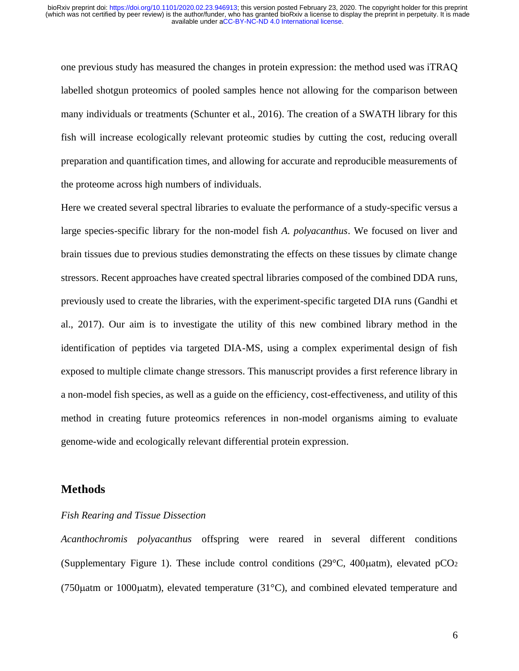one previous study has measured the changes in protein expression: the method used was iTRAQ labelled shotgun proteomics of pooled samples hence not allowing for the comparison between many individuals or treatments (Schunter et al., 2016). The creation of a SWATH library for this fish will increase ecologically relevant proteomic studies by cutting the cost, reducing overall preparation and quantification times, and allowing for accurate and reproducible measurements of the proteome across high numbers of individuals.

Here we created several spectral libraries to evaluate the performance of a study-specific versus a large species-specific library for the non-model fish *A. polyacanthus*. We focused on liver and brain tissues due to previous studies demonstrating the effects on these tissues by climate change stressors. Recent approaches have created spectral libraries composed of the combined DDA runs, previously used to create the libraries, with the experiment-specific targeted DIA runs (Gandhi et al., 2017). Our aim is to investigate the utility of this new combined library method in the identification of peptides via targeted DIA-MS, using a complex experimental design of fish exposed to multiple climate change stressors. This manuscript provides a first reference library in a non-model fish species, as well as a guide on the efficiency, cost-effectiveness, and utility of this method in creating future proteomics references in non-model organisms aiming to evaluate genome-wide and ecologically relevant differential protein expression.

# **Methods**

## *Fish Rearing and Tissue Dissection*

*Acanthochromis polyacanthus* offspring were reared in several different conditions (Supplementary Figure 1). These include control conditions (29 $\degree$ C, 400 $\mu$ atm), elevated pCO<sub>2</sub> (750 $\mu$ atm or 1000 $\mu$ atm), elevated temperature (31 $\degree$ C), and combined elevated temperature and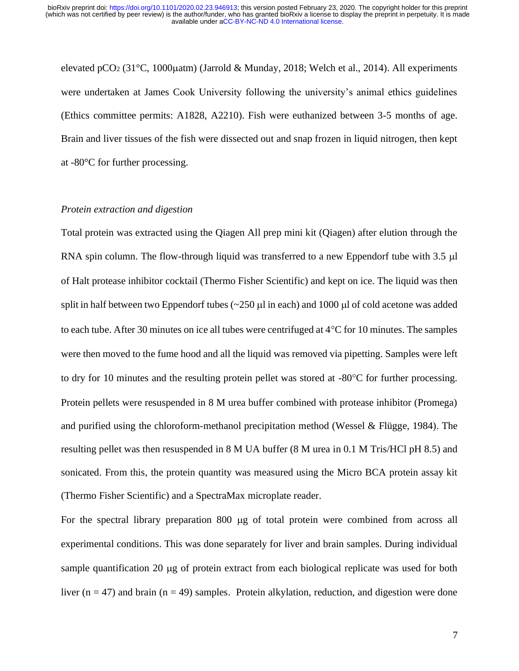elevated pCO<sub>2</sub> (31°C, 1000 $\mu$ atm) (Jarrold & Munday, 2018; Welch et al., 2014). All experiments were undertaken at James Cook University following the university's animal ethics guidelines (Ethics committee permits: A1828, A2210). Fish were euthanized between 3-5 months of age. Brain and liver tissues of the fish were dissected out and snap frozen in liquid nitrogen, then kept at -80°C for further processing.

## *Protein extraction and digestion*

Total protein was extracted using the Qiagen All prep mini kit (Qiagen) after elution through the RNA spin column. The flow-through liquid was transferred to a new Eppendorf tube with 3.5 µ of Halt protease inhibitor cocktail (Thermo Fisher Scientific) and kept on ice. The liquid was then split in half between two Eppendorf tubes ( $\sim$ 250  $\mu$ l in each) and 1000  $\mu$ l of cold acetone was added to each tube. After 30 minutes on ice all tubes were centrifuged at  $4^{\circ}C$  for 10 minutes. The samples were then moved to the fume hood and all the liquid was removed via pipetting. Samples were left to dry for 10 minutes and the resulting protein pellet was stored at  $-80^{\circ}$ C for further processing. Protein pellets were resuspended in 8 M urea buffer combined with protease inhibitor (Promega) and purified using the chloroform-methanol precipitation method (Wessel & Flügge, 1984). The resulting pellet was then resuspended in 8 M UA buffer (8 M urea in 0.1 M Tris/HCl pH 8.5) and sonicated. From this, the protein quantity was measured using the Micro BCA protein assay kit (Thermo Fisher Scientific) and a SpectraMax microplate reader.

For the spectral library preparation 800  $\mu$ g of total protein were combined from across all experimental conditions. This was done separately for liver and brain samples. During individual sample quantification 20  $\mu$ g of protein extract from each biological replicate was used for both liver  $(n = 47)$  and brain  $(n = 49)$  samples. Protein alkylation, reduction, and digestion were done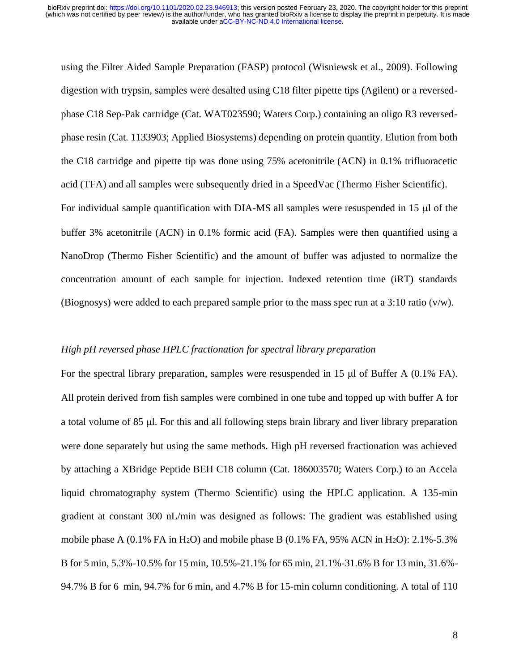using the Filter Aided Sample Preparation (FASP) protocol (Wisniewsk et al., 2009). Following digestion with trypsin, samples were desalted using C18 filter pipette tips (Agilent) or a reversedphase C18 Sep-Pak cartridge (Cat. WAT023590; Waters Corp.) containing an oligo R3 reversedphase resin (Cat. 1133903; Applied Biosystems) depending on protein quantity. Elution from both the C18 cartridge and pipette tip was done using 75% acetonitrile (ACN) in 0.1% trifluoracetic acid (TFA) and all samples were subsequently dried in a SpeedVac (Thermo Fisher Scientific).

For individual sample quantification with  $DIA-MS$  all samples were resuspended in 15  $\mu$ l of the buffer 3% acetonitrile (ACN) in 0.1% formic acid (FA). Samples were then quantified using a NanoDrop (Thermo Fisher Scientific) and the amount of buffer was adjusted to normalize the concentration amount of each sample for injection. Indexed retention time (iRT) standards (Biognosys) were added to each prepared sample prior to the mass spec run at a 3:10 ratio (v/w).

## *High pH reversed phase HPLC fractionation for spectral library preparation*

For the spectral library preparation, samples were resuspended in 15  $\mu$ l of Buffer A (0.1% FA). All protein derived from fish samples were combined in one tube and topped up with buffer A for a total volume of 85 µl. For this and all following steps brain library and liver library preparation were done separately but using the same methods. High pH reversed fractionation was achieved by attaching a XBridge Peptide BEH C18 column (Cat. 186003570; Waters Corp.) to an Accela liquid chromatography system (Thermo Scientific) using the HPLC application. A 135-min gradient at constant 300 nL/min was designed as follows: The gradient was established using mobile phase A  $(0.1\%$  FA in H<sub>2</sub>O) and mobile phase B  $(0.1\%$  FA, 95% ACN in H<sub>2</sub>O): 2.1%-5.3% B for 5 min, 5.3%-10.5% for 15 min, 10.5%-21.1% for 65 min, 21.1%-31.6% B for 13 min, 31.6%- 94.7% B for 6 min, 94.7% for 6 min, and 4.7% B for 15-min column conditioning. A total of 110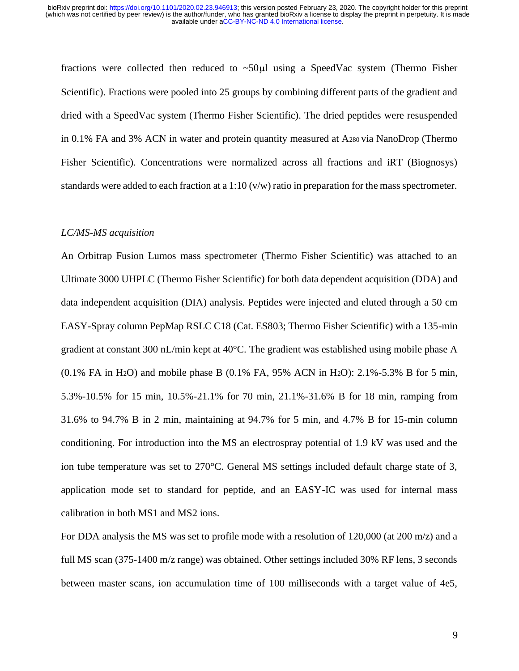fractions were collected then reduced to  $\sim$ 50 $\mu$ l using a SpeedVac system (Thermo Fisher Scientific). Fractions were pooled into 25 groups by combining different parts of the gradient and dried with a SpeedVac system (Thermo Fisher Scientific). The dried peptides were resuspended in 0.1% FA and 3% ACN in water and protein quantity measured at A<sup>280</sup> via NanoDrop (Thermo Fisher Scientific). Concentrations were normalized across all fractions and iRT (Biognosys) standards were added to each fraction at a 1:10 ( $v/w$ ) ratio in preparation for the mass spectrometer.

## *LC/MS-MS acquisition*

An Orbitrap Fusion Lumos mass spectrometer (Thermo Fisher Scientific) was attached to an Ultimate 3000 UHPLC (Thermo Fisher Scientific) for both data dependent acquisition (DDA) and data independent acquisition (DIA) analysis. Peptides were injected and eluted through a 50 cm EASY-Spray column PepMap RSLC C18 (Cat. ES803; Thermo Fisher Scientific) with a 135-min gradient at constant 300 nL/min kept at 40°C. The gradient was established using mobile phase A (0.1% FA in H2O) and mobile phase B (0.1% FA, 95% ACN in H2O): 2.1%-5.3% B for 5 min, 5.3%-10.5% for 15 min, 10.5%-21.1% for 70 min, 21.1%-31.6% B for 18 min, ramping from 31.6% to 94.7% B in 2 min, maintaining at 94.7% for 5 min, and 4.7% B for 15-min column conditioning. For introduction into the MS an electrospray potential of 1.9 kV was used and the ion tube temperature was set to 270°C. General MS settings included default charge state of 3, application mode set to standard for peptide, and an EASY-IC was used for internal mass calibration in both MS1 and MS2 ions.

For DDA analysis the MS was set to profile mode with a resolution of 120,000 (at 200 m/z) and a full MS scan (375-1400 m/z range) was obtained. Other settings included 30% RF lens, 3 seconds between master scans, ion accumulation time of 100 milliseconds with a target value of 4e5,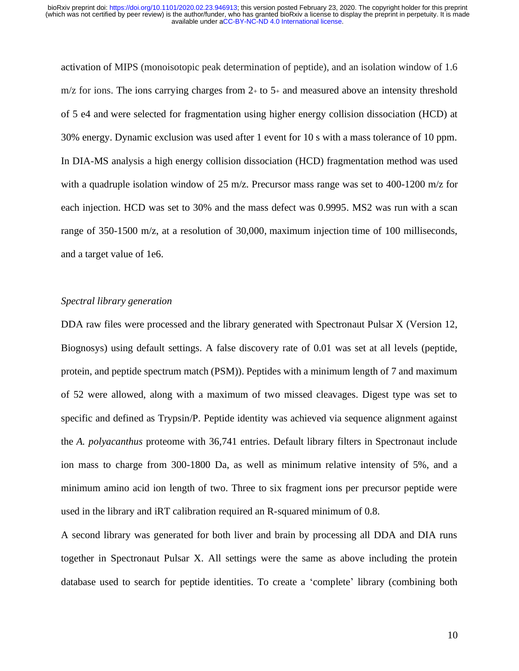activation of MIPS (monoisotopic peak determination of peptide), and an isolation window of 1.6  $m/z$  for ions. The ions carrying charges from  $2+$  to  $5+$  and measured above an intensity threshold of 5 e4 and were selected for fragmentation using higher energy collision dissociation (HCD) at 30% energy. Dynamic exclusion was used after 1 event for 10 s with a mass tolerance of 10 ppm. In DIA-MS analysis a high energy collision dissociation (HCD) fragmentation method was used with a quadruple isolation window of 25 m/z. Precursor mass range was set to 400-1200 m/z for each injection. HCD was set to 30% and the mass defect was 0.9995. MS2 was run with a scan range of 350-1500 m/z, at a resolution of 30,000, maximum injection time of 100 milliseconds, and a target value of 1e6.

#### *Spectral library generation*

DDA raw files were processed and the library generated with Spectronaut Pulsar X (Version 12, Biognosys) using default settings. A false discovery rate of 0.01 was set at all levels (peptide, protein, and peptide spectrum match (PSM)). Peptides with a minimum length of 7 and maximum of 52 were allowed, along with a maximum of two missed cleavages. Digest type was set to specific and defined as Trypsin/P. Peptide identity was achieved via sequence alignment against the *A. polyacanthus* proteome with 36,741 entries. Default library filters in Spectronaut include ion mass to charge from 300-1800 Da, as well as minimum relative intensity of 5%, and a minimum amino acid ion length of two. Three to six fragment ions per precursor peptide were used in the library and iRT calibration required an R-squared minimum of 0.8.

A second library was generated for both liver and brain by processing all DDA and DIA runs together in Spectronaut Pulsar X. All settings were the same as above including the protein database used to search for peptide identities. To create a 'complete' library (combining both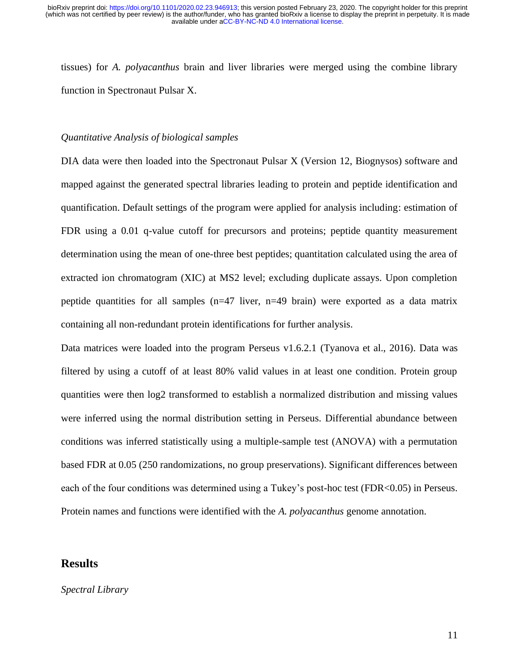tissues) for *A. polyacanthus* brain and liver libraries were merged using the combine library function in Spectronaut Pulsar X.

#### *Quantitative Analysis of biological samples*

DIA data were then loaded into the Spectronaut Pulsar X (Version 12, Biognysos) software and mapped against the generated spectral libraries leading to protein and peptide identification and quantification. Default settings of the program were applied for analysis including: estimation of FDR using a 0.01 q-value cutoff for precursors and proteins; peptide quantity measurement determination using the mean of one-three best peptides; quantitation calculated using the area of extracted ion chromatogram (XIC) at MS2 level; excluding duplicate assays. Upon completion peptide quantities for all samples (n=47 liver, n=49 brain) were exported as a data matrix containing all non-redundant protein identifications for further analysis.

Data matrices were loaded into the program Perseus v1.6.2.1 (Tyanova et al., 2016). Data was filtered by using a cutoff of at least 80% valid values in at least one condition. Protein group quantities were then log2 transformed to establish a normalized distribution and missing values were inferred using the normal distribution setting in Perseus. Differential abundance between conditions was inferred statistically using a multiple-sample test (ANOVA) with a permutation based FDR at 0.05 (250 randomizations, no group preservations). Significant differences between each of the four conditions was determined using a Tukey's post-hoc test (FDR<0.05) in Perseus. Protein names and functions were identified with the *A. polyacanthus* genome annotation.

## **Results**

## *Spectral Library*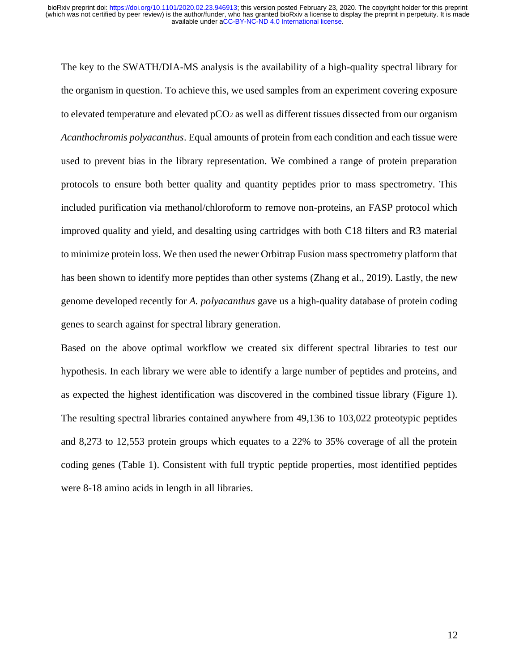The key to the SWATH/DIA-MS analysis is the availability of a high-quality spectral library for the organism in question. To achieve this, we used samples from an experiment covering exposure to elevated temperature and elevated pCO<sup>2</sup> as well as different tissues dissected from our organism *Acanthochromis polyacanthus*. Equal amounts of protein from each condition and each tissue were used to prevent bias in the library representation. We combined a range of protein preparation protocols to ensure both better quality and quantity peptides prior to mass spectrometry. This included purification via methanol/chloroform to remove non-proteins, an FASP protocol which improved quality and yield, and desalting using cartridges with both C18 filters and R3 material to minimize protein loss. We then used the newer Orbitrap Fusion mass spectrometry platform that has been shown to identify more peptides than other systems (Zhang et al., 2019). Lastly, the new genome developed recently for *A. polyacanthus* gave us a high-quality database of protein coding genes to search against for spectral library generation.

Based on the above optimal workflow we created six different spectral libraries to test our hypothesis. In each library we were able to identify a large number of peptides and proteins, and as expected the highest identification was discovered in the combined tissue library (Figure 1). The resulting spectral libraries contained anywhere from 49,136 to 103,022 proteotypic peptides and 8,273 to 12,553 protein groups which equates to a 22% to 35% coverage of all the protein coding genes (Table 1). Consistent with full tryptic peptide properties, most identified peptides were 8-18 amino acids in length in all libraries.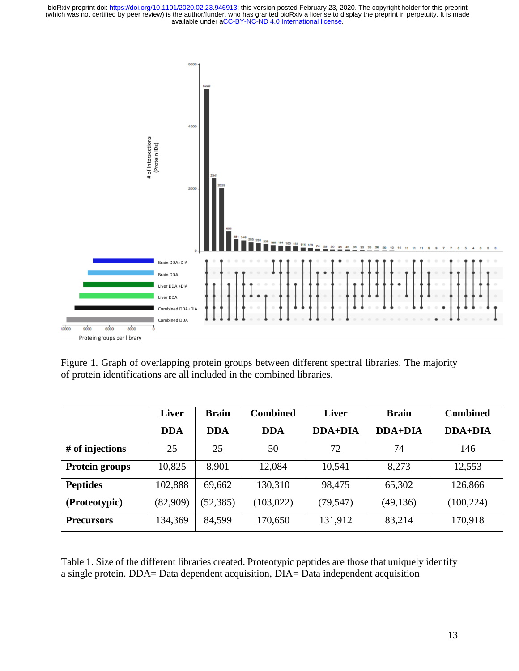

Figure 1. Graph of overlapping protein groups between different spectral libraries. The majority of protein identifications are all included in the combined libraries.

|                       | <b>Liver</b> | <b>Brain</b> | <b>Combined</b> | <b>Liver</b>   | <b>Brain</b> | <b>Combined</b> |
|-----------------------|--------------|--------------|-----------------|----------------|--------------|-----------------|
|                       | <b>DDA</b>   | <b>DDA</b>   | <b>DDA</b>      | <b>DDA+DIA</b> | $DDA+DIA$    | $DDA+DIA$       |
| # of injections       | 25           | 25           | 50              | 72             | 74           | 146             |
| <b>Protein groups</b> | 10,825       | 8,901        | 12,084          | 10,541         | 8,273        | 12,553          |
| <b>Peptides</b>       | 102,888      | 69,662       | 130,310         | 98,475         | 65,302       | 126,866         |
| (Proteotypic)         | (82,909)     | (52, 385)    | (103, 022)      | (79, 547)      | (49, 136)    | (100, 224)      |
| <b>Precursors</b>     | 134,369      | 84,599       | 170,650         | 131,912        | 83,214       | 170,918         |

Table 1. Size of the different libraries created. Proteotypic peptides are those that uniquely identify a single protein. DDA= Data dependent acquisition, DIA= Data independent acquisition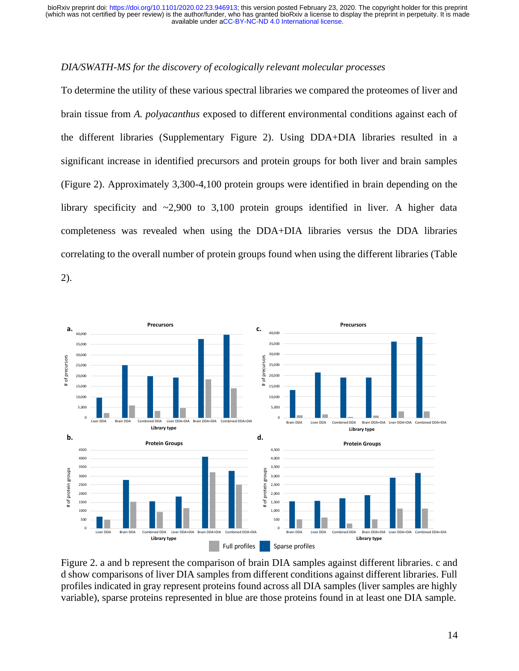## *DIA/SWATH-MS for the discovery of ecologically relevant molecular processes*

To determine the utility of these various spectral libraries we compared the proteomes of liver and brain tissue from *A. polyacanthus* exposed to different environmental conditions against each of the different libraries (Supplementary Figure 2). Using DDA+DIA libraries resulted in a significant increase in identified precursors and protein groups for both liver and brain samples (Figure 2). Approximately 3,300-4,100 protein groups were identified in brain depending on the library specificity and  $\sim$ 2,900 to 3,100 protein groups identified in liver. A higher data completeness was revealed when using the DDA+DIA libraries versus the DDA libraries correlating to the overall number of protein groups found when using the different libraries (Table

2).



Figure 2. a and b represent the comparison of brain DIA samples against different libraries. c and d show comparisons of liver DIA samples from different conditions against different libraries. Full profiles indicated in gray represent proteins found across all DIA samples (liver samples are highly variable), sparse proteins represented in blue are those proteins found in at least one DIA sample.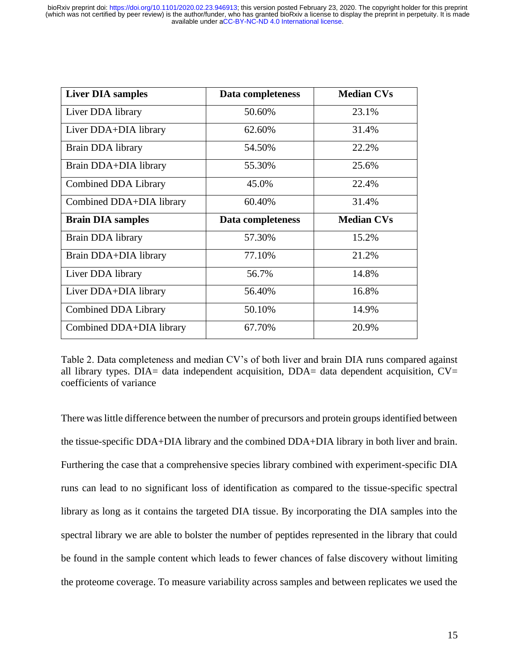| <b>Liver DIA samples</b>    | Data completeness | <b>Median CVs</b> |
|-----------------------------|-------------------|-------------------|
| Liver DDA library           | 50.60%            | 23.1%             |
| Liver DDA+DIA library       | 62.60%            | 31.4%             |
| Brain DDA library           | 54.50%            | 22.2%             |
| Brain DDA+DIA library       | 55.30%            | 25.6%             |
| <b>Combined DDA Library</b> | 45.0%             | 22.4%             |
| Combined DDA+DIA library    | 60.40%            | 31.4%             |
| <b>Brain DIA samples</b>    | Data completeness | <b>Median CVs</b> |
| Brain DDA library           | 57.30%            | 15.2%             |
| Brain DDA+DIA library       | 77.10%            | 21.2%             |
| Liver DDA library           | 56.7%             | 14.8%             |
| Liver DDA+DIA library       | 56.40%            | 16.8%             |
| <b>Combined DDA Library</b> | 50.10%            | 14.9%             |
| Combined DDA+DIA library    | 67.70%            | 20.9%             |

Table 2. Data completeness and median CV's of both liver and brain DIA runs compared against all library types. DIA= data independent acquisition, DDA= data dependent acquisition,  $CV=$ coefficients of variance

There was little difference between the number of precursors and protein groups identified between the tissue-specific DDA+DIA library and the combined DDA+DIA library in both liver and brain. Furthering the case that a comprehensive species library combined with experiment-specific DIA runs can lead to no significant loss of identification as compared to the tissue-specific spectral library as long as it contains the targeted DIA tissue. By incorporating the DIA samples into the spectral library we are able to bolster the number of peptides represented in the library that could be found in the sample content which leads to fewer chances of false discovery without limiting the proteome coverage. To measure variability across samples and between replicates we used the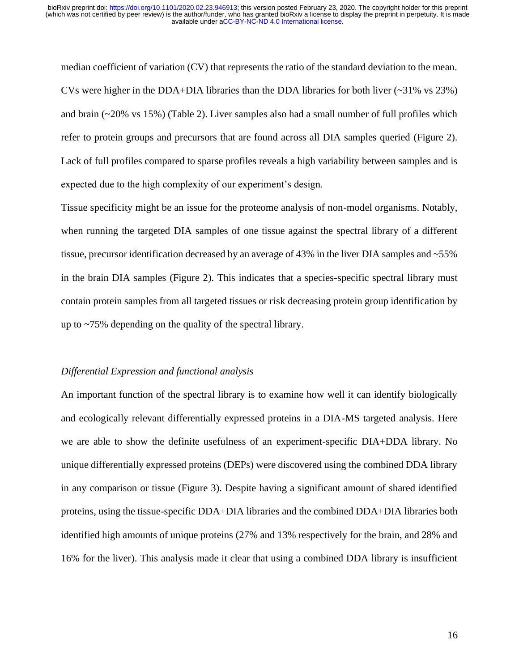median coefficient of variation (CV) that represents the ratio of the standard deviation to the mean. CVs were higher in the DDA+DIA libraries than the DDA libraries for both liver  $(\sim 31\% \text{ vs } 23\%)$ and brain (~20% vs 15%) (Table 2). Liver samples also had a small number of full profiles which refer to protein groups and precursors that are found across all DIA samples queried (Figure 2). Lack of full profiles compared to sparse profiles reveals a high variability between samples and is expected due to the high complexity of our experiment's design.

Tissue specificity might be an issue for the proteome analysis of non-model organisms. Notably, when running the targeted DIA samples of one tissue against the spectral library of a different tissue, precursor identification decreased by an average of 43% in the liver DIA samples and ~55% in the brain DIA samples (Figure 2). This indicates that a species-specific spectral library must contain protein samples from all targeted tissues or risk decreasing protein group identification by up to ~75% depending on the quality of the spectral library.

## *Differential Expression and functional analysis*

An important function of the spectral library is to examine how well it can identify biologically and ecologically relevant differentially expressed proteins in a DIA-MS targeted analysis. Here we are able to show the definite usefulness of an experiment-specific DIA+DDA library. No unique differentially expressed proteins (DEPs) were discovered using the combined DDA library in any comparison or tissue (Figure 3). Despite having a significant amount of shared identified proteins, using the tissue-specific DDA+DIA libraries and the combined DDA+DIA libraries both identified high amounts of unique proteins (27% and 13% respectively for the brain, and 28% and 16% for the liver). This analysis made it clear that using a combined DDA library is insufficient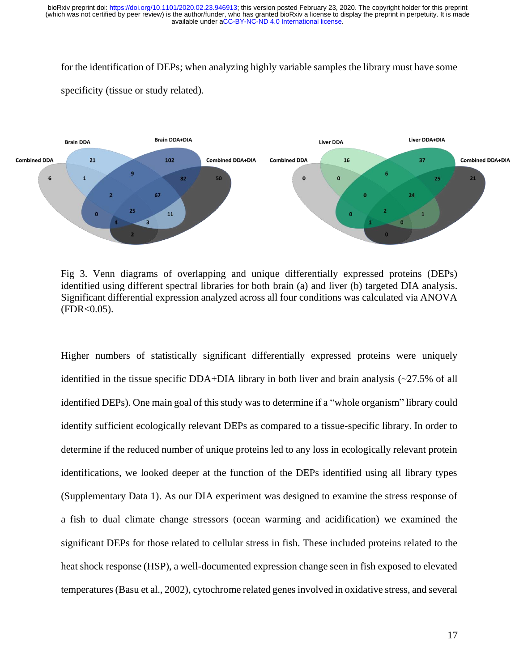for the identification of DEPs; when analyzing highly variable samples the library must have some specificity (tissue or study related).



Fig 3. Venn diagrams of overlapping and unique differentially expressed proteins (DEPs) identified using different spectral libraries for both brain (a) and liver (b) targeted DIA analysis. Significant differential expression analyzed across all four conditions was calculated via ANOVA  $(FDR < 0.05)$ .

Higher numbers of statistically significant differentially expressed proteins were uniquely identified in the tissue specific DDA+DIA library in both liver and brain analysis  $\langle \sim 27.5\%$  of all identified DEPs). One main goal of this study was to determine if a "whole organism" library could identify sufficient ecologically relevant DEPs as compared to a tissue-specific library. In order to determine if the reduced number of unique proteins led to any loss in ecologically relevant protein identifications, we looked deeper at the function of the DEPs identified using all library types (Supplementary Data 1). As our DIA experiment was designed to examine the stress response of a fish to dual climate change stressors (ocean warming and acidification) we examined the significant DEPs for those related to cellular stress in fish. These included proteins related to the heat shock response (HSP), a well-documented expression change seen in fish exposed to elevated temperatures (Basu et al., 2002), cytochrome related genes involved in oxidative stress, and several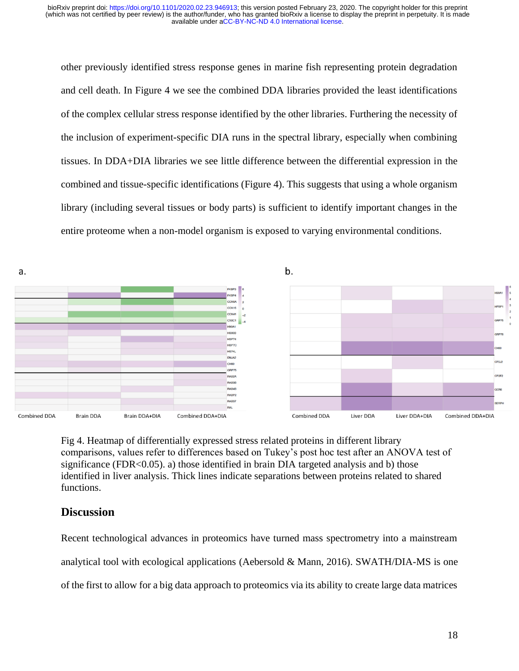other previously identified stress response genes in marine fish representing protein degradation and cell death. In Figure 4 we see the combined DDA libraries provided the least identifications of the complex cellular stress response identified by the other libraries. Furthering the necessity of the inclusion of experiment-specific DIA runs in the spectral library, especially when combining tissues. In DDA+DIA libraries we see little difference between the differential expression in the combined and tissue-specific identifications (Figure 4). This suggests that using a whole organism library (including several tissues or body parts) is sufficient to identify important changes in the entire proteome when a non-model organism is exposed to varying environmental conditions.



Fig 4. Heatmap of differentially expressed stress related proteins in different library comparisons, values refer to differences based on Tukey's post hoc test after an ANOVA test of significance ( $FDR < 0.05$ ). a) those identified in brain DIA targeted analysis and b) those identified in liver analysis. Thick lines indicate separations between proteins related to shared functions.

# **Discussion**

Recent technological advances in proteomics have turned mass spectrometry into a mainstream analytical tool with ecological applications (Aebersold & Mann, 2016). SWATH/DIA-MS is one of the first to allow for a big data approach to proteomics via its ability to create large data matrices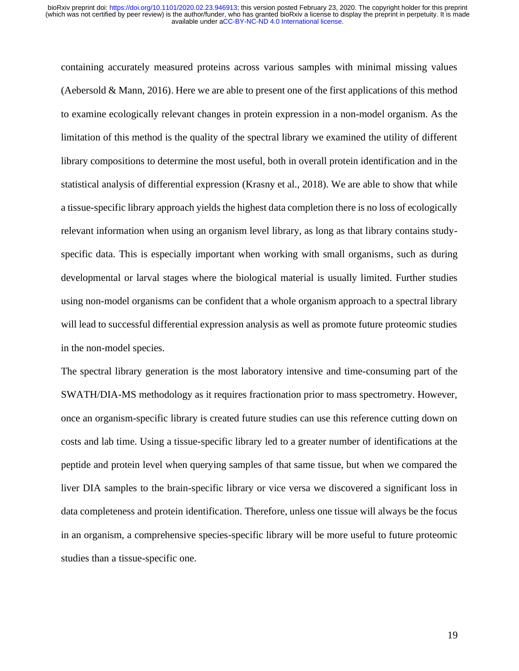containing accurately measured proteins across various samples with minimal missing values (Aebersold & Mann, 2016). Here we are able to present one of the first applications of this method to examine ecologically relevant changes in protein expression in a non-model organism. As the limitation of this method is the quality of the spectral library we examined the utility of different library compositions to determine the most useful, both in overall protein identification and in the statistical analysis of differential expression (Krasny et al., 2018). We are able to show that while a tissue-specific library approach yields the highest data completion there is no loss of ecologically relevant information when using an organism level library, as long as that library contains studyspecific data. This is especially important when working with small organisms, such as during developmental or larval stages where the biological material is usually limited. Further studies using non-model organisms can be confident that a whole organism approach to a spectral library will lead to successful differential expression analysis as well as promote future proteomic studies in the non-model species.

The spectral library generation is the most laboratory intensive and time-consuming part of the SWATH/DIA-MS methodology as it requires fractionation prior to mass spectrometry. However, once an organism-specific library is created future studies can use this reference cutting down on costs and lab time. Using a tissue-specific library led to a greater number of identifications at the peptide and protein level when querying samples of that same tissue, but when we compared the liver DIA samples to the brain-specific library or vice versa we discovered a significant loss in data completeness and protein identification. Therefore, unless one tissue will always be the focus in an organism, a comprehensive species-specific library will be more useful to future proteomic studies than a tissue-specific one.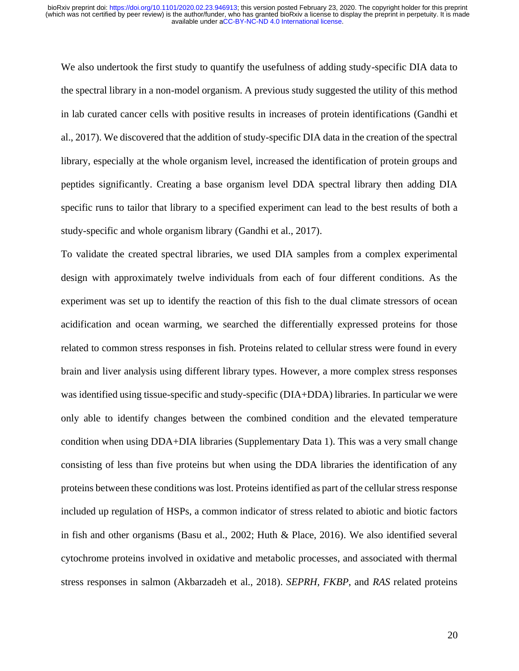We also undertook the first study to quantify the usefulness of adding study-specific DIA data to the spectral library in a non-model organism. A previous study suggested the utility of this method in lab curated cancer cells with positive results in increases of protein identifications (Gandhi et al., 2017). We discovered that the addition of study-specific DIA data in the creation of the spectral library, especially at the whole organism level, increased the identification of protein groups and peptides significantly. Creating a base organism level DDA spectral library then adding DIA specific runs to tailor that library to a specified experiment can lead to the best results of both a study-specific and whole organism library (Gandhi et al., 2017).

To validate the created spectral libraries, we used DIA samples from a complex experimental design with approximately twelve individuals from each of four different conditions. As the experiment was set up to identify the reaction of this fish to the dual climate stressors of ocean acidification and ocean warming, we searched the differentially expressed proteins for those related to common stress responses in fish. Proteins related to cellular stress were found in every brain and liver analysis using different library types. However, a more complex stress responses was identified using tissue-specific and study-specific (DIA+DDA) libraries. In particular we were only able to identify changes between the combined condition and the elevated temperature condition when using DDA+DIA libraries (Supplementary Data 1). This was a very small change consisting of less than five proteins but when using the DDA libraries the identification of any proteins between these conditions was lost. Proteins identified as part of the cellular stress response included up regulation of HSPs, a common indicator of stress related to abiotic and biotic factors in fish and other organisms (Basu et al., 2002; Huth & Place, 2016). We also identified several cytochrome proteins involved in oxidative and metabolic processes, and associated with thermal stress responses in salmon (Akbarzadeh et al., 2018). *SEPRH, FKBP*, and *RAS* related proteins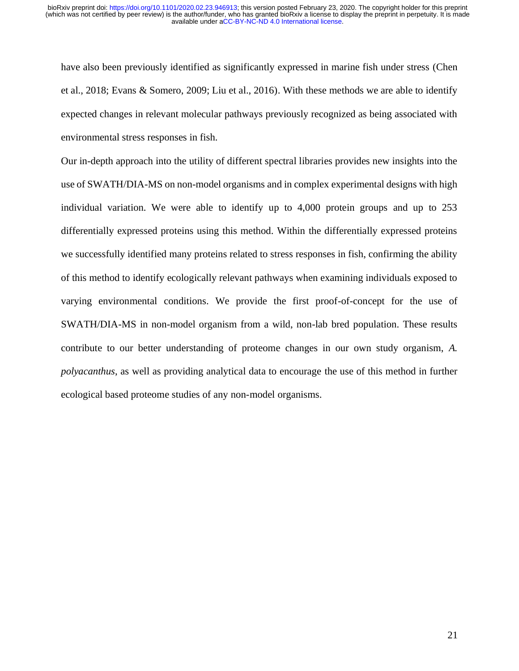have also been previously identified as significantly expressed in marine fish under stress (Chen et al., 2018; Evans & Somero, 2009; Liu et al., 2016). With these methods we are able to identify expected changes in relevant molecular pathways previously recognized as being associated with environmental stress responses in fish.

Our in-depth approach into the utility of different spectral libraries provides new insights into the use of SWATH/DIA-MS on non-model organisms and in complex experimental designs with high individual variation. We were able to identify up to 4,000 protein groups and up to 253 differentially expressed proteins using this method. Within the differentially expressed proteins we successfully identified many proteins related to stress responses in fish, confirming the ability of this method to identify ecologically relevant pathways when examining individuals exposed to varying environmental conditions. We provide the first proof-of-concept for the use of SWATH/DIA-MS in non-model organism from a wild, non-lab bred population. These results contribute to our better understanding of proteome changes in our own study organism, *A. polyacanthus*, as well as providing analytical data to encourage the use of this method in further ecological based proteome studies of any non-model organisms.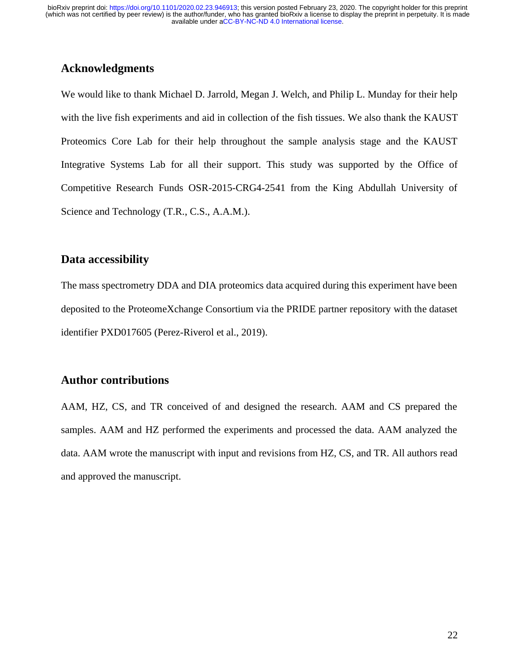# **Acknowledgments**

We would like to thank Michael D. Jarrold, Megan J. Welch, and Philip L. Munday for their help with the live fish experiments and aid in collection of the fish tissues. We also thank the KAUST Proteomics Core Lab for their help throughout the sample analysis stage and the KAUST Integrative Systems Lab for all their support. This study was supported by the Office of Competitive Research Funds OSR-2015-CRG4-2541 from the King Abdullah University of Science and Technology (T.R., C.S., A.A.M.).

# **Data accessibility**

The mass spectrometry DDA and DIA proteomics data acquired during this experiment have been deposited to the ProteomeXchange Consortium via the PRIDE partner repository with the dataset identifier PXD017605 (Perez-Riverol et al., 2019).

# **Author contributions**

AAM, HZ, CS, and TR conceived of and designed the research. AAM and CS prepared the samples. AAM and HZ performed the experiments and processed the data. AAM analyzed the data. AAM wrote the manuscript with input and revisions from HZ, CS, and TR. All authors read and approved the manuscript.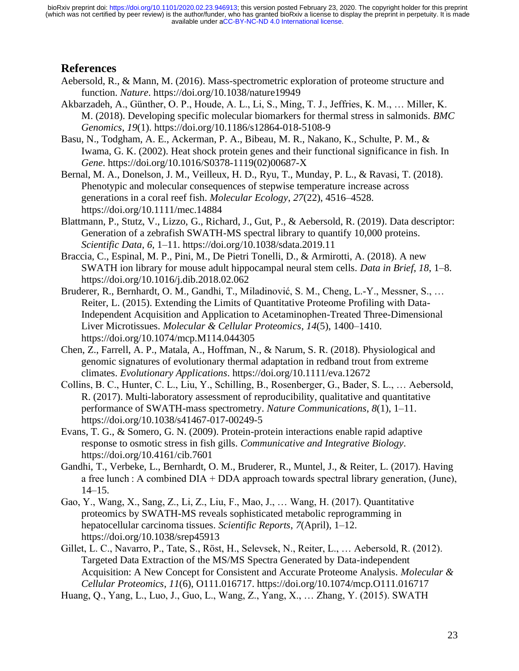# **References**

- Aebersold, R., & Mann, M. (2016). Mass-spectrometric exploration of proteome structure and function. *Nature*. https://doi.org/10.1038/nature19949
- Akbarzadeh, A., Günther, O. P., Houde, A. L., Li, S., Ming, T. J., Jeffries, K. M., … Miller, K. M. (2018). Developing specific molecular biomarkers for thermal stress in salmonids. *BMC Genomics*, *19*(1). https://doi.org/10.1186/s12864-018-5108-9
- Basu, N., Todgham, A. E., Ackerman, P. A., Bibeau, M. R., Nakano, K., Schulte, P. M., & Iwama, G. K. (2002). Heat shock protein genes and their functional significance in fish. In *Gene*. https://doi.org/10.1016/S0378-1119(02)00687-X
- Bernal, M. A., Donelson, J. M., Veilleux, H. D., Ryu, T., Munday, P. L., & Ravasi, T. (2018). Phenotypic and molecular consequences of stepwise temperature increase across generations in a coral reef fish. *Molecular Ecology*, *27*(22), 4516–4528. https://doi.org/10.1111/mec.14884
- Blattmann, P., Stutz, V., Lizzo, G., Richard, J., Gut, P., & Aebersold, R. (2019). Data descriptor: Generation of a zebrafish SWATH-MS spectral library to quantify 10,000 proteins. *Scientific Data*, *6*, 1–11. https://doi.org/10.1038/sdata.2019.11
- Braccia, C., Espinal, M. P., Pini, M., De Pietri Tonelli, D., & Armirotti, A. (2018). A new SWATH ion library for mouse adult hippocampal neural stem cells. *Data in Brief*, *18*, 1–8. https://doi.org/10.1016/j.dib.2018.02.062
- Bruderer, R., Bernhardt, O. M., Gandhi, T., Miladinović, S. M., Cheng, L.-Y., Messner, S., … Reiter, L. (2015). Extending the Limits of Quantitative Proteome Profiling with Data-Independent Acquisition and Application to Acetaminophen-Treated Three-Dimensional Liver Microtissues. *Molecular & Cellular Proteomics*, *14*(5), 1400–1410. https://doi.org/10.1074/mcp.M114.044305
- Chen, Z., Farrell, A. P., Matala, A., Hoffman, N., & Narum, S. R. (2018). Physiological and genomic signatures of evolutionary thermal adaptation in redband trout from extreme climates. *Evolutionary Applications*. https://doi.org/10.1111/eva.12672
- Collins, B. C., Hunter, C. L., Liu, Y., Schilling, B., Rosenberger, G., Bader, S. L., … Aebersold, R. (2017). Multi-laboratory assessment of reproducibility, qualitative and quantitative performance of SWATH-mass spectrometry. *Nature Communications*, *8*(1), 1–11. https://doi.org/10.1038/s41467-017-00249-5
- Evans, T. G., & Somero, G. N. (2009). Protein-protein interactions enable rapid adaptive response to osmotic stress in fish gills. *Communicative and Integrative Biology*. https://doi.org/10.4161/cib.7601
- Gandhi, T., Verbeke, L., Bernhardt, O. M., Bruderer, R., Muntel, J., & Reiter, L. (2017). Having a free lunch : A combined DIA + DDA approach towards spectral library generation, (June), 14–15.
- Gao, Y., Wang, X., Sang, Z., Li, Z., Liu, F., Mao, J., … Wang, H. (2017). Quantitative proteomics by SWATH-MS reveals sophisticated metabolic reprogramming in hepatocellular carcinoma tissues. *Scientific Reports*, *7*(April), 1–12. https://doi.org/10.1038/srep45913
- Gillet, L. C., Navarro, P., Tate, S., Röst, H., Selevsek, N., Reiter, L., … Aebersold, R. (2012). Targeted Data Extraction of the MS/MS Spectra Generated by Data-independent Acquisition: A New Concept for Consistent and Accurate Proteome Analysis. *Molecular & Cellular Proteomics*, *11*(6), O111.016717. https://doi.org/10.1074/mcp.O111.016717
- Huang, Q., Yang, L., Luo, J., Guo, L., Wang, Z., Yang, X., … Zhang, Y. (2015). SWATH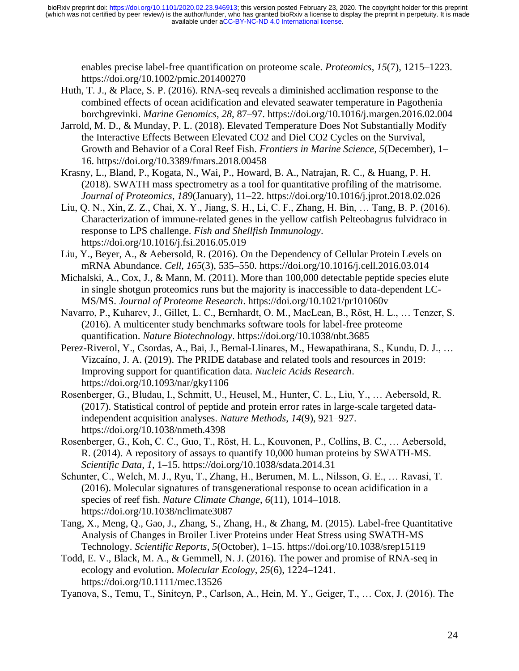enables precise label-free quantification on proteome scale. *Proteomics*, *15*(7), 1215–1223. https://doi.org/10.1002/pmic.201400270

- Huth, T. J., & Place, S. P. (2016). RNA-seq reveals a diminished acclimation response to the combined effects of ocean acidification and elevated seawater temperature in Pagothenia borchgrevinki. *Marine Genomics*, *28*, 87–97. https://doi.org/10.1016/j.margen.2016.02.004
- Jarrold, M. D., & Munday, P. L. (2018). Elevated Temperature Does Not Substantially Modify the Interactive Effects Between Elevated CO2 and Diel CO2 Cycles on the Survival, Growth and Behavior of a Coral Reef Fish. *Frontiers in Marine Science*, *5*(December), 1– 16. https://doi.org/10.3389/fmars.2018.00458
- Krasny, L., Bland, P., Kogata, N., Wai, P., Howard, B. A., Natrajan, R. C., & Huang, P. H. (2018). SWATH mass spectrometry as a tool for quantitative profiling of the matrisome. *Journal of Proteomics*, *189*(January), 11–22. https://doi.org/10.1016/j.jprot.2018.02.026
- Liu, Q. N., Xin, Z. Z., Chai, X. Y., Jiang, S. H., Li, C. F., Zhang, H. Bin, … Tang, B. P. (2016). Characterization of immune-related genes in the yellow catfish Pelteobagrus fulvidraco in response to LPS challenge. *Fish and Shellfish Immunology*. https://doi.org/10.1016/j.fsi.2016.05.019
- Liu, Y., Beyer, A., & Aebersold, R. (2016). On the Dependency of Cellular Protein Levels on mRNA Abundance. *Cell*, *165*(3), 535–550. https://doi.org/10.1016/j.cell.2016.03.014
- Michalski, A., Cox, J., & Mann, M. (2011). More than 100,000 detectable peptide species elute in single shotgun proteomics runs but the majority is inaccessible to data-dependent LC-MS/MS. *Journal of Proteome Research*. https://doi.org/10.1021/pr101060v
- Navarro, P., Kuharev, J., Gillet, L. C., Bernhardt, O. M., MacLean, B., Röst, H. L., … Tenzer, S. (2016). A multicenter study benchmarks software tools for label-free proteome quantification. *Nature Biotechnology*. https://doi.org/10.1038/nbt.3685
- Perez-Riverol, Y., Csordas, A., Bai, J., Bernal-Llinares, M., Hewapathirana, S., Kundu, D. J., … Vizcaíno, J. A. (2019). The PRIDE database and related tools and resources in 2019: Improving support for quantification data. *Nucleic Acids Research*. https://doi.org/10.1093/nar/gky1106
- Rosenberger, G., Bludau, I., Schmitt, U., Heusel, M., Hunter, C. L., Liu, Y., … Aebersold, R. (2017). Statistical control of peptide and protein error rates in large-scale targeted dataindependent acquisition analyses. *Nature Methods*, *14*(9), 921–927. https://doi.org/10.1038/nmeth.4398
- Rosenberger, G., Koh, C. C., Guo, T., Röst, H. L., Kouvonen, P., Collins, B. C., … Aebersold, R. (2014). A repository of assays to quantify 10,000 human proteins by SWATH-MS. *Scientific Data*, *1*, 1–15. https://doi.org/10.1038/sdata.2014.31
- Schunter, C., Welch, M. J., Ryu, T., Zhang, H., Berumen, M. L., Nilsson, G. E., … Ravasi, T. (2016). Molecular signatures of transgenerational response to ocean acidification in a species of reef fish. *Nature Climate Change*, *6*(11), 1014–1018. https://doi.org/10.1038/nclimate3087
- Tang, X., Meng, Q., Gao, J., Zhang, S., Zhang, H., & Zhang, M. (2015). Label-free Quantitative Analysis of Changes in Broiler Liver Proteins under Heat Stress using SWATH-MS Technology. *Scientific Reports*, *5*(October), 1–15. https://doi.org/10.1038/srep15119
- Todd, E. V., Black, M. A., & Gemmell, N. J. (2016). The power and promise of RNA-seq in ecology and evolution. *Molecular Ecology*, *25*(6), 1224–1241. https://doi.org/10.1111/mec.13526
- Tyanova, S., Temu, T., Sinitcyn, P., Carlson, A., Hein, M. Y., Geiger, T., … Cox, J. (2016). The